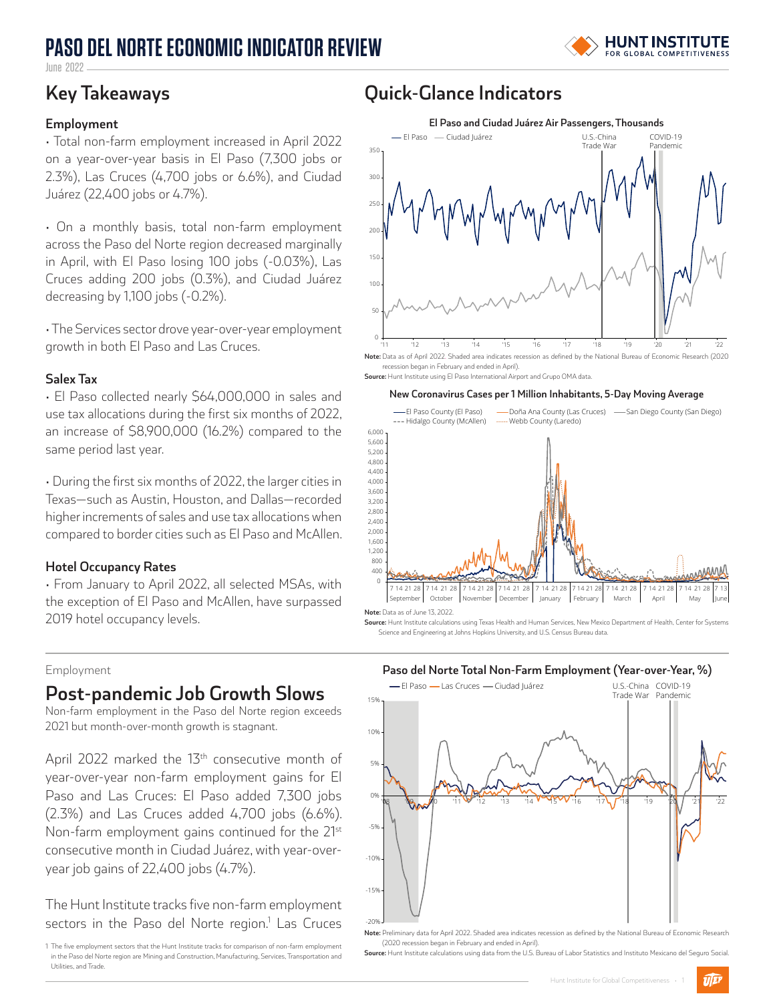# **PASO DEL NORTE ECONOMIC INDICATOR REVIEW**



June 2022

#### **Employment**

• Total non-farm employment increased in April 2022 on a year-over-year basis in El Paso (7,300 jobs or 2.3%), Las Cruces (4,700 jobs or 6.6%), and Ciudad Juárez (22,400 jobs or 4.7%).

• On a monthly basis, total non-farm employment across the Paso del Norte region decreased marginally in April, with El Paso losing 100 jobs (-0.03%), Las Cruces adding 200 jobs (0.3%), and Ciudad Juárez decreasing by 1,100 jobs (-0.2%).

• The Services sector drove year-over-year employment growth in both El Paso and Las Cruces.

#### **Salex Tax**

• El Paso collected nearly \$64,000,000 in sales and use tax allocations during the first six months of 2022, an increase of \$8,900,000 (16.2%) compared to the same period last year.

• During the first six months of 2022, the larger cities in Texas—such as Austin, Houston, and Dallas—recorded higher increments of sales and use tax allocations when compared to border cities such as El Paso and McAllen.

#### **Hotel Occupancy Rates**

• From January to April 2022, all selected MSAs, with the exception of El Paso and McAllen, have surpassed 2019 hotel occupancy levels.

#### Employment

### **Post-pandemic Job Growth Slows**

Non-farm employment in the Paso del Norte region exceeds 2021 but month-over-month growth is stagnant.

April 2022 marked the  $13<sup>th</sup>$  consecutive month of year-over-year non-farm employment gains for El Paso and Las Cruces: El Paso added 7,300 jobs (2.3%) and Las Cruces added 4,700 jobs (6.6%). Non-farm employment gains continued for the 21<sup>st</sup> consecutive month in Ciudad Juárez, with year-overyear job gains of 22,400 jobs (4.7%).

The Hunt Institute tracks five non-farm employment sectors in the Paso del Norte region.<sup>1</sup> Las Cruces

1 The five employment sectors that the Hunt Institute tracks for comparison of non-farm employment in the Paso del Norte region are Mining and Construction, Manufacturing, Services, Transportation and Utilities, and Trade.

### **Key Takeaways Quick-Glance Indicators**



**Note:** Data as of April 2022. Shaded area indicates recession as defined by the National Bureau of Economic Research (2020 recession began in February and ended in April). **Source:** Hunt Institute using El Paso International Airport and Grupo OMA data.

#### **New Coronavirus Cases per 1 Million Inhabitants, 5-Day Moving Average**



**Source:** Hunt Institute calculations using Texas Health and Human Services, New Mexico Department of Health, Center for Systems Science and Engineering at Johns Hopkins University, and U.S. Census Bureau data.



(2020 recession began in February and ended in April). **Source:** Hunt Institute calculations using data from the U.S. Bureau of Labor Statistics and Instituto Mexicano del Seguro Social.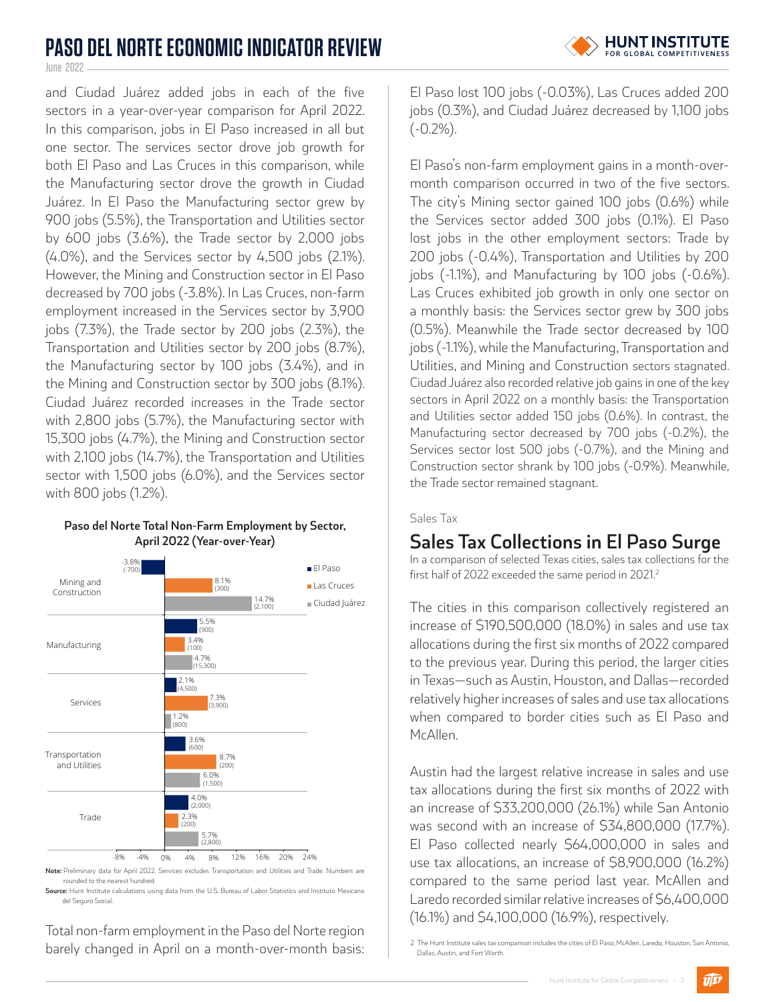# **PASO DEL NORTE ECONOMIC INDICATOR REVIEW**

June 2022 -

and Ciudad Juárez added jobs in each of the five sectors in a year-over-year comparison for April 2022. In this comparison, jobs in El Paso increased in all but one sector. The services sector drove job growth for both El Paso and Las Cruces in this comparison, while the Manufacturing sector drove the growth in Ciudad Juárez. In El Paso the Manufacturing sector grew by 900 jobs (5.5%), the Transportation and Utilities sector by 600 jobs (3.6%), the Trade sector by 2,000 jobs (4.0%), and the Services sector by 4,500 jobs (2.1%). However, the Mining and Construction sector in El Paso decreased by 700 jobs (-3.8%). In Las Cruces, non-farm employment increased in the Services sector by 3,900 jobs (7.3%), the Trade sector by 200 jobs (2.3%), the Transportation and Utilities sector by 200 jobs (8.7%), the Manufacturing sector by 100 jobs (3.4%), and in the Mining and Construction sector by 300 jobs (8.1%). Ciudad Juárez recorded increases in the Trade sector with 2,800 jobs (5.7%), the Manufacturing sector with 15,300 jobs (4.7%), the Mining and Construction sector with 2,100 jobs (14.7%), the Transportation and Utilities sector with 1,500 jobs (6.0%), and the Services sector with 800 jobs (1.2%).

#### **Paso del Norte Total Non-Farm Employment by Sector, April 2022 (Year-over-Year)**



rounded to the nearest hundred.

**Source:** Hunt Institute calculations using data from the U.S. Bureau of Labor Statistics and Instituto Mexicano del Seguro Social.

Total non-farm employment in the Paso del Norte region barely changed in April on a month-over-month basis:

El Paso lost 100 jobs (-0.03%), Las Cruces added 200 jobs (0.3%), and Ciudad Juárez decreased by 1,100 jobs (-0.2%).

El Paso's non-farm employment gains in a month-overmonth comparison occurred in two of the five sectors. The city's Mining sector gained 100 jobs (0.6%) while the Services sector added 300 jobs (0.1%). El Paso lost jobs in the other employment sectors: Trade by 200 jobs (-0.4%), Transportation and Utilities by 200 jobs (-1.1%), and Manufacturing by 100 jobs (-0.6%). Las Cruces exhibited job growth in only one sector on a monthly basis: the Services sector grew by 300 jobs (0.5%). Meanwhile the Trade sector decreased by 100 jobs (-1.1%), while the Manufacturing, Transportation and Utilities, and Mining and Construction sectors stagnated. Ciudad Juárez also recorded relative job gains in one of the key sectors in April 2022 on a monthly basis: the Transportation and Utilities sector added 150 jobs (0.6%). In contrast, the Manufacturing sector decreased by 700 jobs (-0.2%), the Services sector lost 500 jobs (-0.7%), and the Mining and Construction sector shrank by 100 jobs (-0.9%). Meanwhile, the Trade sector remained stagnant.

### Sales Tax

### **Sales Tax Collections in El Paso Surge**

In a comparison of selected Texas cities, sales tax collections for the first half of 2022 exceeded the same period in 2021.<sup>2</sup>

The cities in this comparison collectively registered an increase of \$190,500,000 (18.0%) in sales and use tax allocations during the first six months of 2022 compared to the previous year. During this period, the larger cities in Texas—such as Austin, Houston, and Dallas—recorded relatively higher increases of sales and use tax allocations when compared to border cities such as El Paso and McAllen.

Austin had the largest relative increase in sales and use tax allocations during the first six months of 2022 with an increase of \$33,200,000 (26.1%) while San Antonio was second with an increase of \$34,800,000 (17.7%). El Paso collected nearly \$64,000,000 in sales and use tax allocations, an increase of \$8,900,000 (16.2%) compared to the same period last year. McAllen and Laredo recorded similar relative increases of \$6,400,000 (16.1%) and \$4,100,000 (16.9%), respectively.

 $\widehat{U|E^p}$ 

<sup>2</sup> The Hunt Institute sales tax comparison includes the cities of El Paso, McAllen, Laredo, Houston, San Antonio, Dallas, Austin, and Fort Worth.